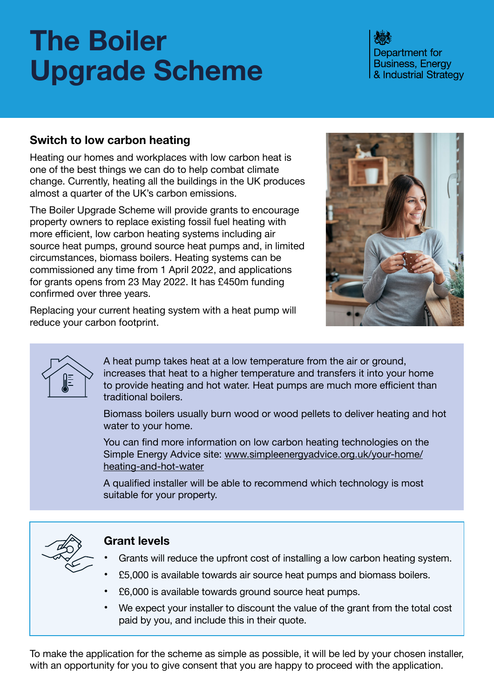# **The Boiler Upgrade Scheme**

Department for **Business, Energy** & Industrial Strategy

### **Switch to low carbon heating**

Heating our homes and workplaces with low carbon heat is one of the best things we can do to help combat climate change. Currently, heating all the buildings in the UK produces almost a quarter of the UK's carbon emissions.

The Boiler Upgrade Scheme will provide grants to encourage property owners to replace existing fossil fuel heating with more efficient, low carbon heating systems including air source heat pumps, ground source heat pumps and, in limited circumstances, biomass boilers. Heating systems can be commissioned any time from 1 April 2022, and applications for grants opens from 23 May 2022. It has £450m funding confirmed over three years.



Replacing your current heating system with a heat pump will reduce your carbon footprint.



A heat pump takes heat at a low temperature from the air or ground, increases that heat to a higher temperature and transfers it into your home to provide heating and hot water. Heat pumps are much more efficient than traditional boilers.

Biomass boilers usually burn wood or wood pellets to deliver heating and hot water to your home.

You can find more information on low carbon heating technologies on the Simple Energy Advice site: [www.simpleenergyadvice.org.uk/your-home/](https://www.simpleenergyadvice.org.uk/your-home/heating-and-hot-water) [heating-and-hot-water](https://www.simpleenergyadvice.org.uk/your-home/heating-and-hot-water)

A qualified installer will be able to recommend which technology is most suitable for your property.



#### **Grant levels**

- **•** Grants will reduce the upfront cost of installing a low carbon heating system.
- **•** £5,000 is available towards air source heat pumps and biomass boilers.
- **•** £6,000 is available towards ground source heat pumps.
- **•** We expect your installer to discount the value of the grant from the total cost paid by you, and include this in their quote.

To make the application for the scheme as simple as possible, it will be led by your chosen installer, with an opportunity for you to give consent that you are happy to proceed with the application.